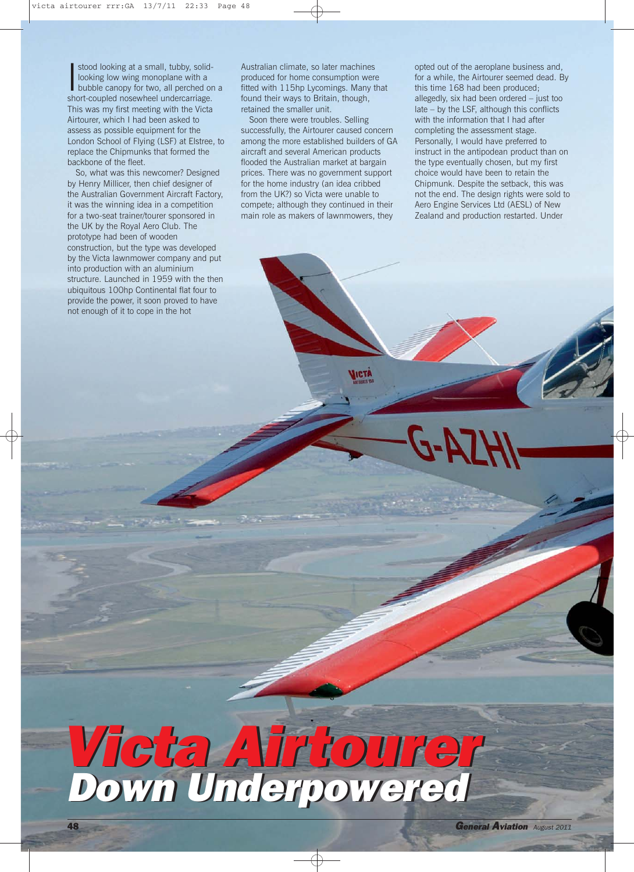stood looking at a small, tubby, solid-<br>looking low wing monoplane with a<br>bubble canopy for two, all perched or<br>short-coupled nosewheel undercarriage. stood looking at a small, tubby, solidlooking low wing monoplane with a bubble canopy for two, all perched on a This was my first meeting with the Victa Airtourer, which I had been asked to assess as possible equipment for the London School of Flying (LSF) at Elstree, to replace the Chipmunks that formed the backbone of the fleet.

So, what was this newcomer? Designed by Henry Millicer, then chief designer of the Australian Government Aircraft Factory, it was the winning idea in a competition for a two-seat trainer/tourer sponsored in the UK by the Royal Aero Club. The prototype had been of wooden construction, but the type was developed by the Victa lawnmower company and put into production with an aluminium structure. Launched in 1959 with the then ubiquitous 100hp Continental flat four to provide the power, it soon proved to have not enough of it to cope in the hot

Australian climate, so later machines produced for home consumption were fitted with 115hp Lycomings. Many that found their ways to Britain, though, retained the smaller unit.

Soon there were troubles. Selling successfully, the Airtourer caused concern among the more established builders of GA aircraft and several American products flooded the Australian market at bargain prices. There was no government support for the home industry (an idea cribbed from the UK?) so Victa were unable to compete; although they continued in their main role as makers of lawnmowers, they

ICTA

opted out of the aeroplane business and, for a while, the Airtourer seemed dead. By this time 168 had been produced; allegedly, six had been ordered – just too late – by the LSF, although this conflicts with the information that I had after completing the assessment stage. Personally, I would have preferred to instruct in the antipodean product than on the type eventually chosen, but my first choice would have been to retain the Chipmunk. Despite the setback, this was not the end. The design rights were sold to Aero Engine Services Ltd (AESL) of New Zealand and production restarted. Under

## Victa Airtourer Down Underpowered Victa Airtourer Down Underpowered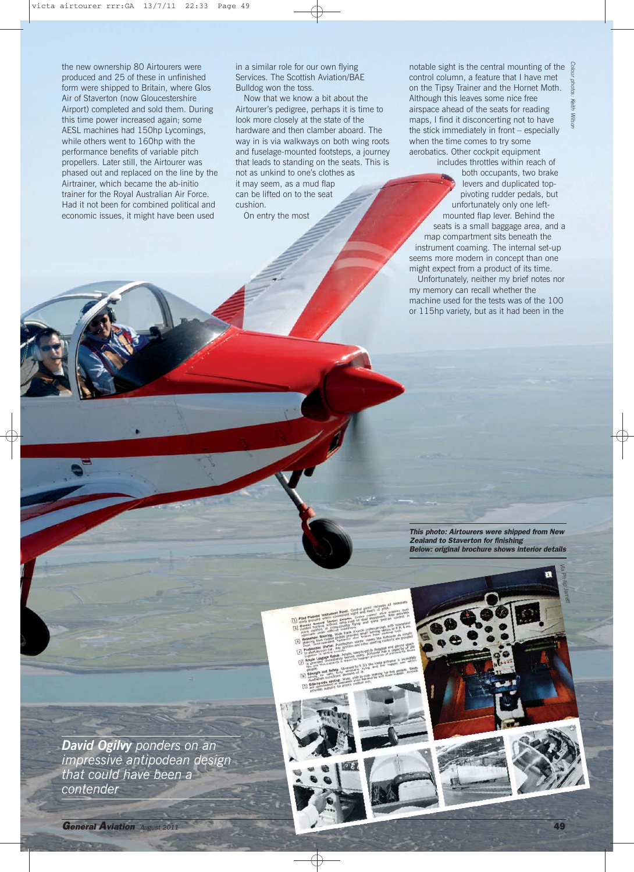the new ownership 80 Airtourers were produced and 25 of these in unfinished form were shipped to Britain, where Glos Air of Staverton (now Gloucestershire Airport) completed and sold them. During this time power increased again; some AESL machines had 150hp Lycomings, while others went to 160hp with the performance benefits of variable pitch propellers. Later still, the Airtourer was phased out and replaced on the line by the Airtrainer, which became the ab-initio trainer for the Royal Australian Air Force. Had it not been for combined political and economic issues, it might have been used

in a similar role for our own flying Services. The Scottish Aviation/BAE Bulldog won the toss.

Now that we know a bit about the Airtourer's pedigree, perhaps it is time to look more closely at the state of the hardware and then clamber aboard. The way in is via walkways on both wing roots and fuselage-mounted footsteps, a journey that leads to standing on the seats. This is not as unkind to one's clothes as it may seem, as a mud flap can be lifted on to the seat cushion. On entry the most

notable sight is the central mounting of the  $\frac{5}{3}$ control column, a feature that I have met on the Tipsy Trainer and the Hornet Moth. Although this leaves some nice free airspace ahead of the seats for reading maps, I find it disconcerting not to have the stick immediately in front – especially when the time comes to try some aerobatics. Other cockpit equipment

 *photos: KeithWilson*

includes throttles within reach of both occupants, two brake levers and duplicated toppivoting rudder pedals, but unfortunately only one leftmounted flap lever. Behind the seats is a small baggage area, and a map compartment sits beneath the instrument coaming. The internal set-up seems more modern in concept than one might expect from a product of its time. Unfortunately, neither my brief notes nor my memory can recall whether the machine used for the tests was of the 100 or 115hp variety, but as it had been in the

This photo: Airtourers were shipped from New Zealand to Staverton for finishing Below: original brochure shows interior details

> *Via Philip Jarrett*

*David Ogilvy ponders on an impressive antipodean design that could have been a contender*

General Aviation August 2011 49